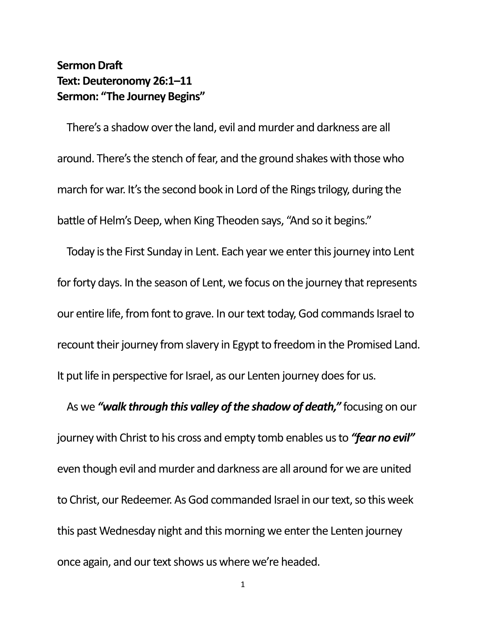## **Sermon Draft Text: Deuteronomy 26:1–11 Sermon: "The Journey Begins"**

There's a shadow over the land, evil and murder and darkness are all around. There's the stench of fear, and the ground shakes with those who march for war. It's the second book in Lord of the Rings trilogy, during the battle of Helm's Deep, when King Theoden says, "And so it begins."

Today is the First Sunday in Lent. Each year we enter this journey into Lent for forty days. In the season of Lent, we focus on the journey that represents our entire life, from font to grave. In our text today, God commands Israel to recount their journey from slavery in Egypt to freedom in the Promised Land. It put life in perspective for Israel, as our Lenten journey does for us.

As we *"walk through this valley of the shadow of death,"* focusing on our journey with Christ to his cross and empty tomb enables us to *"fear no evil"* even though evil and murder and darkness are all around for we are united to Christ, our Redeemer. As God commanded Israel in our text, so this week this past Wednesday night and this morning we enter the Lenten journey once again, and our text shows us where we're headed.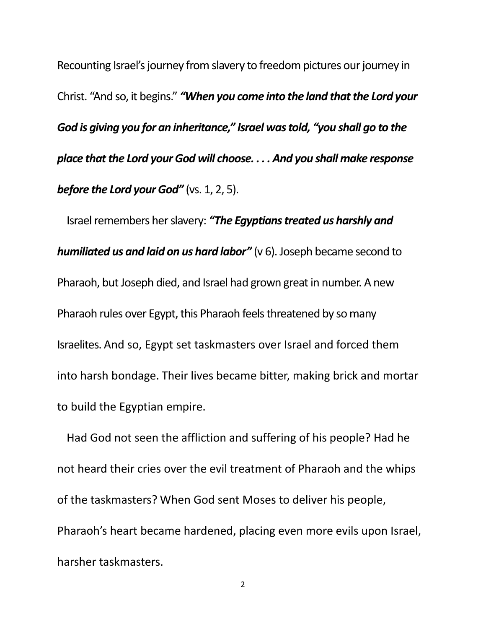Recounting Israel's journey from slavery to freedom pictures our journey in Christ. "And so, it begins." *"When you come into the land that the Lord your God is giving you for an inheritance," Israel was told, "you shall go to the place that the Lord your God will choose. . . . And you shall make response before the Lord your God"* (vs. 1, 2, 5).

Israel remembers her slavery: *"The Egyptians treated us harshly and humiliated us and laid on us hard labor"* (v 6). Joseph became second to Pharaoh, but Joseph died, and Israel had grown great in number. A new Pharaoh rules over Egypt, this Pharaoh feels threatened by so many Israelites. And so, Egypt set taskmasters over Israel and forced them into harsh bondage. Their lives became bitter, making brick and mortar to build the Egyptian empire.

Had God not seen the affliction and suffering of his people? Had he not heard their cries over the evil treatment of Pharaoh and the whips of the taskmasters? When God sent Moses to deliver his people, Pharaoh's heart became hardened, placing even more evils upon Israel, harsher taskmasters.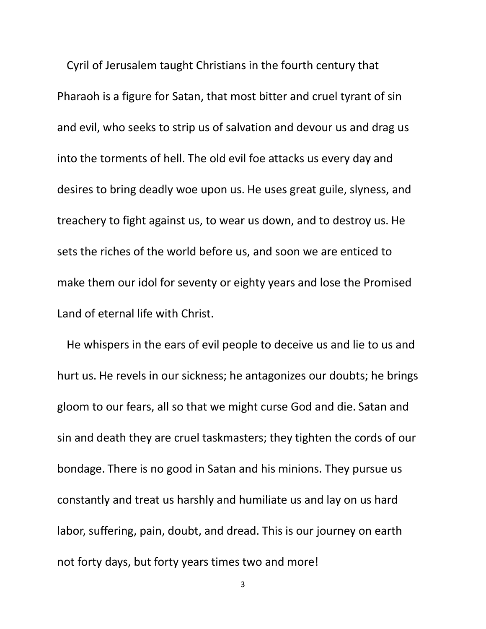Cyril of Jerusalem taught Christians in the fourth century that Pharaoh is a figure for Satan, that most bitter and cruel tyrant of sin and evil, who seeks to strip us of salvation and devour us and drag us into the torments of hell. The old evil foe attacks us every day and desires to bring deadly woe upon us. He uses great guile, slyness, and treachery to fight against us, to wear us down, and to destroy us. He sets the riches of the world before us, and soon we are enticed to make them our idol for seventy or eighty years and lose the Promised Land of eternal life with Christ.

He whispers in the ears of evil people to deceive us and lie to us and hurt us. He revels in our sickness; he antagonizes our doubts; he brings gloom to our fears, all so that we might curse God and die. Satan and sin and death they are cruel taskmasters; they tighten the cords of our bondage. There is no good in Satan and his minions. They pursue us constantly and treat us harshly and humiliate us and lay on us hard labor, suffering, pain, doubt, and dread. This is our journey on earth not forty days, but forty years times two and more!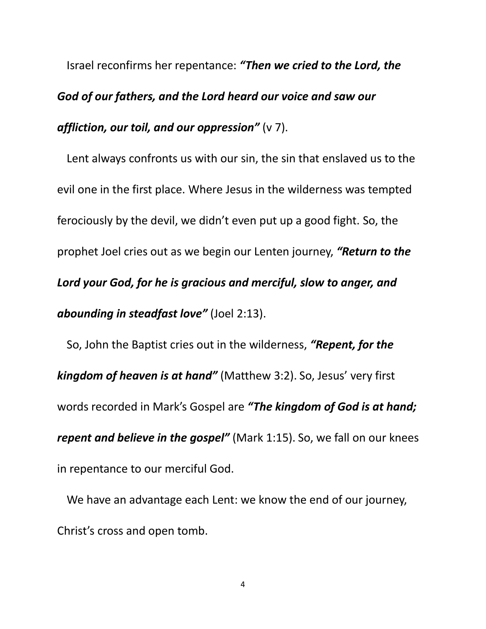Israel reconfirms her repentance: *"Then we cried to the Lord, the God of our fathers, and the Lord heard our voice and saw our affliction, our toil, and our oppression"* (v 7).

Lent always confronts us with our sin, the sin that enslaved us to the evil one in the first place. Where Jesus in the wilderness was tempted ferociously by the devil, we didn't even put up a good fight. So, the prophet Joel cries out as we begin our Lenten journey, *"Return to the Lord your God, for he is gracious and merciful, slow to anger, and abounding in steadfast love"* (Joel 2:13).

So, John the Baptist cries out in the wilderness, *"Repent, for the kingdom of heaven is at hand"* (Matthew 3:2). So, Jesus' very first words recorded in Mark's Gospel are *"The kingdom of God is at hand; repent and believe in the gospel"* (Mark 1:15). So, we fall on our knees in repentance to our merciful God.

We have an advantage each Lent: we know the end of our journey, Christ's cross and open tomb.

4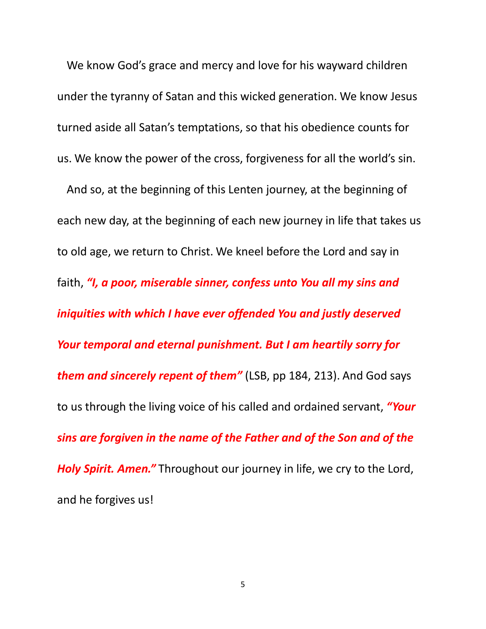We know God's grace and mercy and love for his wayward children under the tyranny of Satan and this wicked generation. We know Jesus turned aside all Satan's temptations, so that his obedience counts for us. We know the power of the cross, forgiveness for all the world's sin.

And so, at the beginning of this Lenten journey, at the beginning of each new day, at the beginning of each new journey in life that takes us to old age, we return to Christ. We kneel before the Lord and say in faith, *"I, a poor, miserable sinner, confess unto You all my sins and iniquities with which I have ever offended You and justly deserved Your temporal and eternal punishment. But I am heartily sorry for them and sincerely repent of them"* (LSB, pp 184, 213). And God says to us through the living voice of his called and ordained servant, *"Your sins are forgiven in the name of the Father and of the Son and of the Holy Spirit. Amen."* Throughout our journey in life, we cry to the Lord, and he forgives us!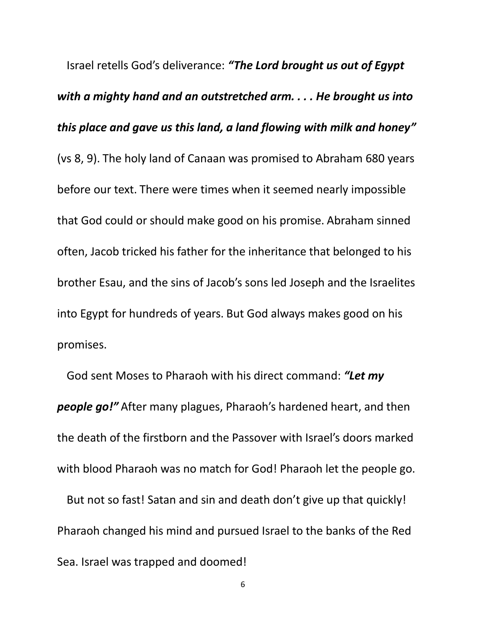Israel retells God's deliverance: *"The Lord brought us out of Egypt with a mighty hand and an outstretched arm. . . . He brought us into this place and gave us this land, a land flowing with milk and honey"*  (vs 8, 9). The holy land of Canaan was promised to Abraham 680 years before our text. There were times when it seemed nearly impossible that God could or should make good on his promise. Abraham sinned often, Jacob tricked his father for the inheritance that belonged to his brother Esau, and the sins of Jacob's sons led Joseph and the Israelites into Egypt for hundreds of years. But God always makes good on his promises.

God sent Moses to Pharaoh with his direct command: *"Let my people go!"* After many plagues, Pharaoh's hardened heart, and then the death of the firstborn and the Passover with Israel's doors marked with blood Pharaoh was no match for God! Pharaoh let the people go.

But not so fast! Satan and sin and death don't give up that quickly! Pharaoh changed his mind and pursued Israel to the banks of the Red Sea. Israel was trapped and doomed!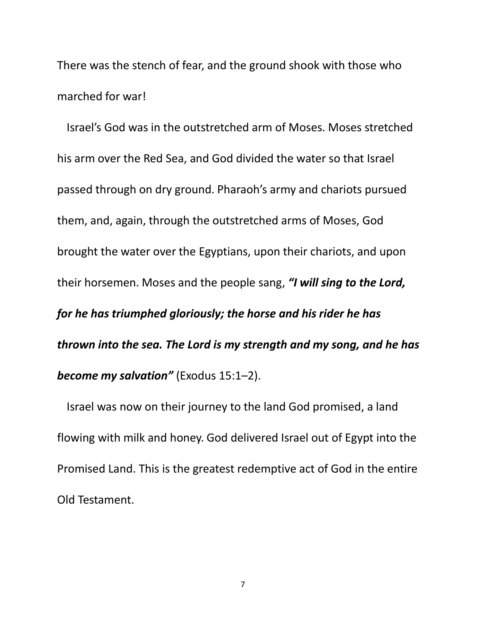There was the stench of fear, and the ground shook with those who marched for war!

Israel's God was in the outstretched arm of Moses. Moses stretched his arm over the Red Sea, and God divided the water so that Israel passed through on dry ground. Pharaoh's army and chariots pursued them, and, again, through the outstretched arms of Moses, God brought the water over the Egyptians, upon their chariots, and upon their horsemen. Moses and the people sang, *"I will sing to the Lord, for he has triumphed gloriously; the horse and his rider he has thrown into the sea. The Lord is my strength and my song, and he has become my salvation"* (Exodus 15:1–2).

Israel was now on their journey to the land God promised, a land flowing with milk and honey. God delivered Israel out of Egypt into the Promised Land. This is the greatest redemptive act of God in the entire Old Testament.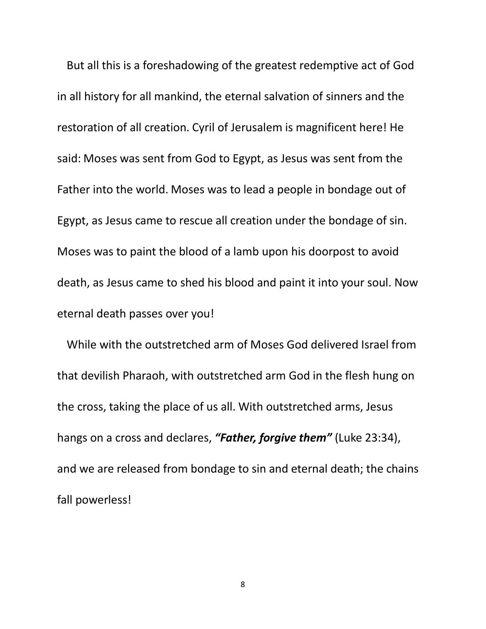But all this is a foreshadowing of the greatest redemptive act of God in all history for all mankind, the eternal salvation of sinners and the restoration of all creation. Cyril of Jerusalem is magnificent here! He said: Moses was sent from God to Egypt, as Jesus was sent from the Father into the world. Moses was to lead a people in bondage out of Egypt, as Jesus came to rescue all creation under the bondage of sin. Moses was to paint the blood of a lamb upon his doorpost to avoid death, as Jesus came to shed his blood and paint it into your soul. Now eternal death passes over you!

While with the outstretched arm of Moses God delivered Israel from that devilish Pharaoh, with outstretched arm God in the flesh hung on the cross, taking the place of us all. With outstretched arms, Jesus hangs on a cross and declares, *"Father, forgive them"* (Luke 23:34), and we are released from bondage to sin and eternal death; the chains fall powerless!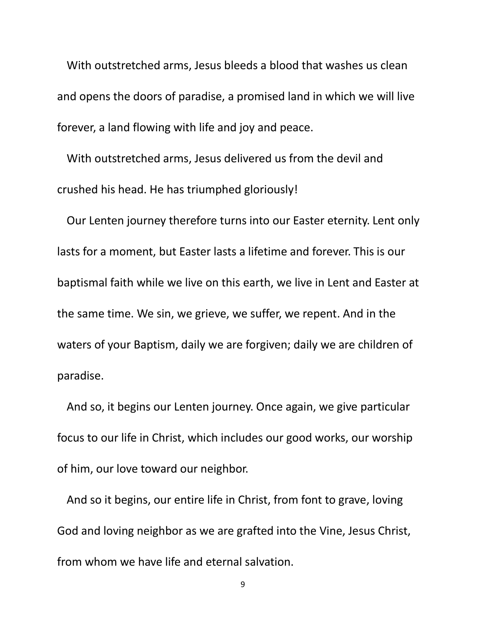With outstretched arms, Jesus bleeds a blood that washes us clean and opens the doors of paradise, a promised land in which we will live forever, a land flowing with life and joy and peace.

With outstretched arms, Jesus delivered us from the devil and crushed his head. He has triumphed gloriously!

Our Lenten journey therefore turns into our Easter eternity. Lent only lasts for a moment, but Easter lasts a lifetime and forever. This is our baptismal faith while we live on this earth, we live in Lent and Easter at the same time. We sin, we grieve, we suffer, we repent. And in the waters of your Baptism, daily we are forgiven; daily we are children of paradise.

And so, it begins our Lenten journey. Once again, we give particular focus to our life in Christ, which includes our good works, our worship of him, our love toward our neighbor.

And so it begins, our entire life in Christ, from font to grave, loving God and loving neighbor as we are grafted into the Vine, Jesus Christ, from whom we have life and eternal salvation.